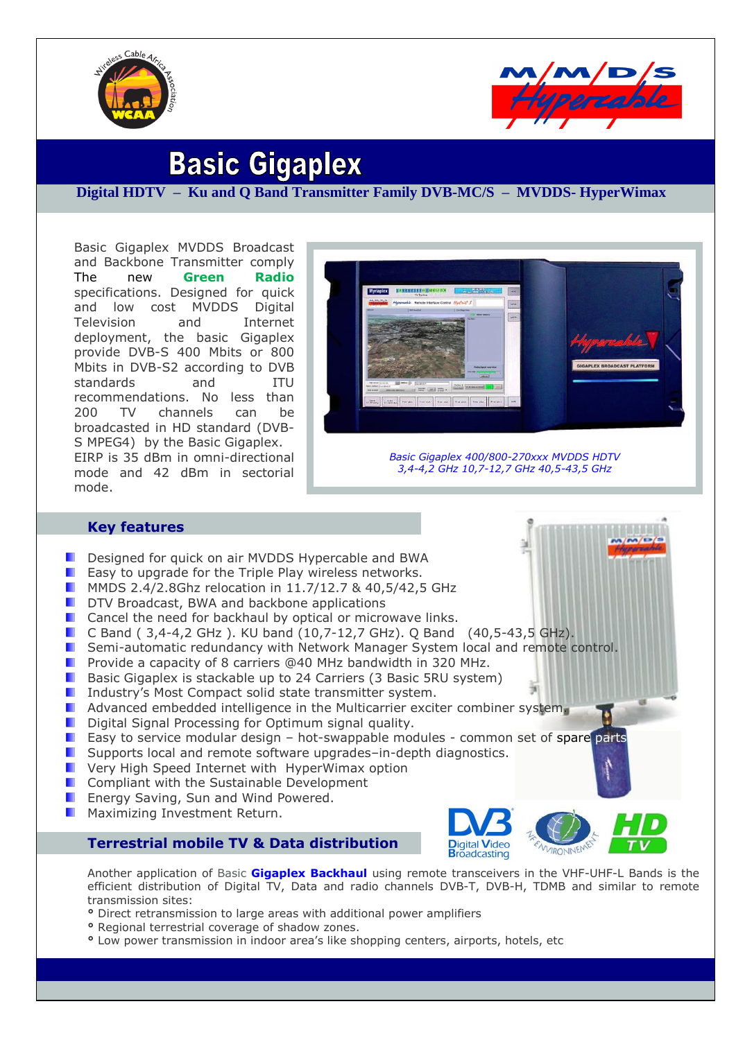



# **Basic Gigaplex**

## **Digital HDTV – Ku and Q Band Transmitter Family DVB-MC/S – MVDDS- HyperWimax**

Basic Gigaplex MVDDS Broadcast and Backbone Transmitter comply The new **Green Radio** specifications. Designed for quick and low cost MVDDS Digital Television and Internet deployment, the basic Gigaplex provide DVB-S 400 Mbits or 800 Mbits in DVB-S2 according to DVB standards and ITU recommendations. No less than 200 TV channels can be broadcasted in HD standard (DVB-S MPEG4) by the Basic Gigaplex. EIRP is 35 dBm in omni-directional mode and 42 dBm in sectorial mode.



*Basic Gigaplex 400/800-270xxx MVDDS HDTV 3,4-4,2 GHz 10,7-12,7 GHz 40,5-43,5 GHz*

## **Key features**

- Designed for quick on air MVDDS Hypercable and BWA
- **E** Easy to upgrade for the Triple Play wireless networks.
- **MMDS 2.4/2.8Ghz relocation in 11.7/12.7 & 40,5/42,5 GHz**
- **DTV Broadcast, BWA and backbone applications**
- **E** Cancel the need for backhaul by optical or microwave links.
- C Band ( 3,4-4,2 GHz ). KU band (10,7-12,7 GHz). Q Band (40,5-43,5 GHz).
- **E.** Semi-automatic redundancy with Network Manager System local and remote control.
- **Provide a capacity of 8 carriers @40 MHz bandwidth in 320 MHz.**
- Basic Gigaplex is stackable up to 24 Carriers (3 Basic 5RU system)
- **I** Industry's Most Compact solid state transmitter system.
- **Advanced embedded intelligence in the Multicarrier exciter combiner system.**
- Digital Signal Processing for Optimum signal quality.
- **E** Easy to service modular design hot-swappable modules common set of spare parts
- **Supports local and remote software upgrades–in-depth diagnostics.**
- **E** Very High Speed Internet with HyperWimax option
- Compliant with the Sustainable Development
- **E** Energy Saving, Sun and Wind Powered.
- Maximizing Investment Return.

## **Terrestrial mobile TV & Data distribution**



Another application of Basic **Gigaplex Backhaul** using remote transceivers in the VHF-UHF-L Bands is the efficient distribution of Digital TV, Data and radio channels DVB-T, DVB-H, TDMB and similar to remote transmission sites:

- **°** Direct retransmission to large areas with additional power amplifiers
- **°** Regional terrestrial coverage of shadow zones.
- **°** Low power transmission in indoor area's like shopping centers, airports, hotels, etc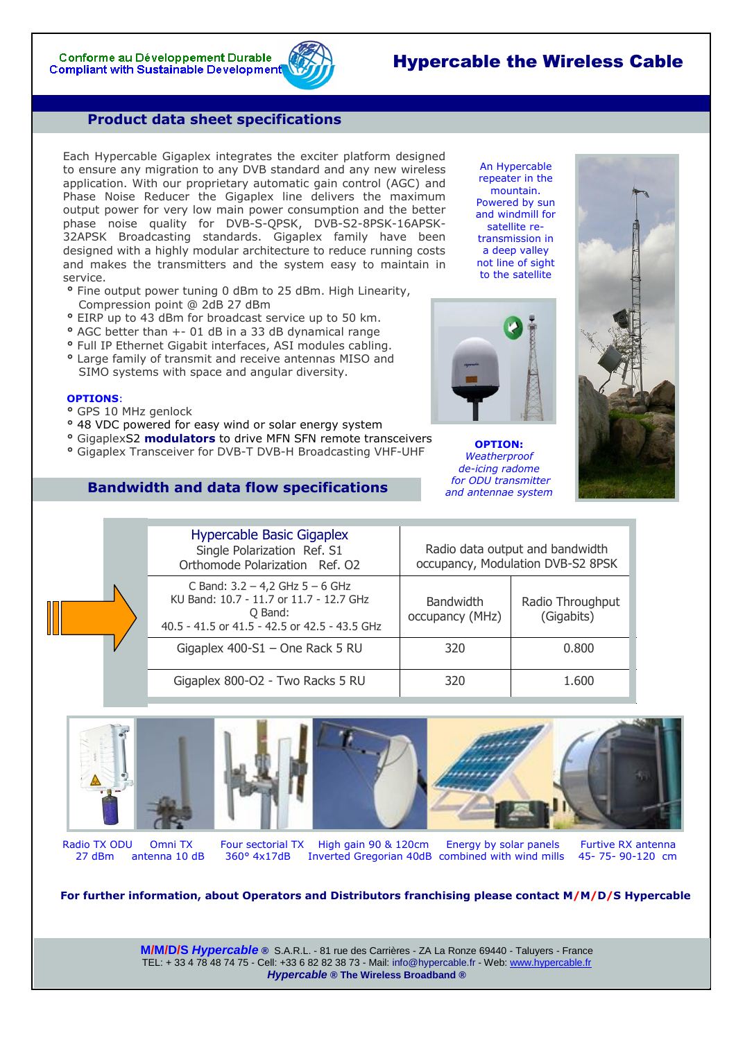## Hypercable the Wireless Cable

An Hypercable repeater in the mountain. Powered by sun and windmill for satellite retransmission in a deep valley not line of sight to the satellite

## **Product data sheet specifications**

Each Hypercable Gigaplex integrates the exciter platform designed to ensure any migration to any DVB standard and any new wireless application. With our proprietary automatic gain control (AGC) and Phase Noise Reducer the Gigaplex line delivers the maximum output power for very low main power consumption and the better phase noise quality for DVB-S-QPSK, DVB-S2-8PSK-16APSK-32APSK Broadcasting standards. Gigaplex family have been designed with a highly modular architecture to reduce running costs and makes the transmitters and the system easy to maintain in service.

- **°** Fine output power tuning 0 dBm to 25 dBm. High Linearity, Compression point @ 2dB 27 dBm
- **°** EIRP up to 43 dBm for broadcast service up to 50 km.
- **°** AGC better than +- 01 dB in a 33 dB dynamical range
- **°** Full IP Ethernet Gigabit interfaces, ASI modules cabling.
- **°** Large family of transmit and receive antennas MISO and SIMO systems with space and angular diversity.

### **OPTIONS**:

- **°** GPS 10 MHz genlock
- **°** 48 VDC powered for easy wind or solar energy system
- **°** GigaplexS2 **modulators** to drive MFN SFN remote transceivers.
- **°** Gigaplex Transceiver for DVB-T DVB-H Broadcasting VHF-UHF

## **Bandwidth and data flow specifications**

Hypercable Basic Gigaplex Single Polarization Ref. S1 Orthomode Polarization Ref. O2 Radio data output and bandwidth occupancy, Modulation DVB-S2 8PSK C Band:  $3.2 - 4.2$  GHz  $5 - 6$  GHz KU Band: 10.7 - 11.7 or 11.7 - 12.7 GHz Q Band: 40.5 - 41.5 or 41.5 - 42.5 or 42.5 - 43.5 GHz Bandwidth occupancy (MHz) Radio Throughput (Gigabits) Gigaplex  $400-S1 -$ One Rack 5 RU 320  $\hspace{1.5cm}$  320 0.800 Gigaplex 800-O2 - Two Racks 5 RU 320 1.600











Radio TX ODU Omni TX Four sectorial TX High gain 90 & 120cm Energy by solar panels Furtive RX antenna<br>27 dBm antenna 10 dB 360° 4x17dB Inverted Gregorian 40dB combined with wind mills 45-75-90-120 cm

Inverted Gregorian 40dB combined with wind mills

**For further information, about Operators and Distributors franchising please contact M/M/D/S Hypercable**

**M/M/D/S** *Hypercable* **®** S.A.R.L. - 81 rue des Carrières - ZA La Ronze 69440 - Taluyers - France TEL: + 33 4 78 48 74 75 - Cell: +33 6 82 82 38 73 - Mail: info@hypercable.fr - Web: [www.hypercable.fr](http://www.hypercable.fr/) *Hypercable* **® The Wireless Broadband ®** 



**OPTION:**  *Weatherproof de-icing radome for ODU transmitter and antennae system*